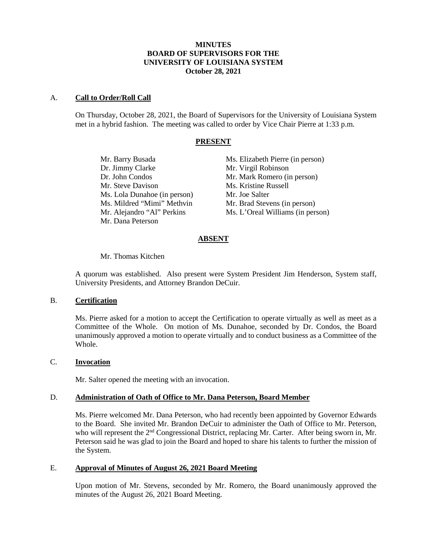## **MINUTES BOARD OF SUPERVISORS FOR THE UNIVERSITY OF LOUISIANA SYSTEM October 28, 2021**

### A. **Call to Order/Roll Call**

On Thursday, October 28, 2021, the Board of Supervisors for the University of Louisiana System met in a hybrid fashion. The meeting was called to order by Vice Chair Pierre at 1:33 p.m.

### **PRESENT**

Dr. Jimmy Clarke Mr. Virgil Robinson Mr. Steve Davison Ms. Kristine Russell Ms. Lola Dunahoe (in person) Mr. Joe Salter Ms. Mildred "Mimi" Methvin Mr. Brad Stevens (in person) Mr. Dana Peterson

Mr. Barry Busada Ms. Elizabeth Pierre (in person) Dr. John Condos Mr. Mark Romero (in person) Mr. Alejandro "Al" Perkins Ms. L'Oreal Williams (in person)

## **ABSENT**

#### Mr. Thomas Kitchen

A quorum was established. Also present were System President Jim Henderson, System staff, University Presidents, and Attorney Brandon DeCuir.

### B. **Certification**

Ms. Pierre asked for a motion to accept the Certification to operate virtually as well as meet as a Committee of the Whole. On motion of Ms. Dunahoe, seconded by Dr. Condos, the Board unanimously approved a motion to operate virtually and to conduct business as a Committee of the Whole.

#### C. **Invocation**

Mr. Salter opened the meeting with an invocation.

#### D. **Administration of Oath of Office to Mr. Dana Peterson, Board Member**

Ms. Pierre welcomed Mr. Dana Peterson, who had recently been appointed by Governor Edwards to the Board. She invited Mr. Brandon DeCuir to administer the Oath of Office to Mr. Peterson, who will represent the  $2<sup>nd</sup>$  Congressional District, replacing Mr. Carter. After being sworn in, Mr. Peterson said he was glad to join the Board and hoped to share his talents to further the mission of the System.

## E. **Approval of Minutes of August 26, 2021 Board Meeting**

Upon motion of Mr. Stevens, seconded by Mr. Romero, the Board unanimously approved the minutes of the August 26, 2021 Board Meeting.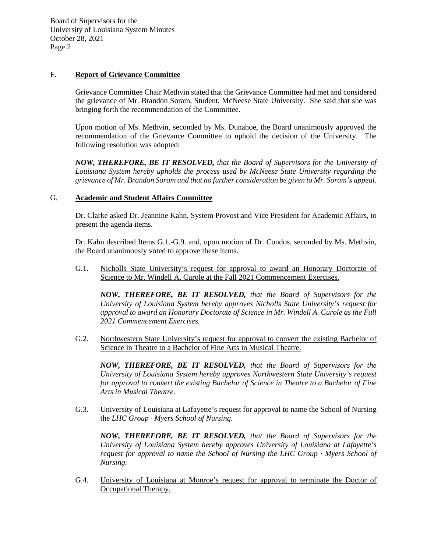## F. **Report of Grievance Committee**

Grievance Committee Chair Methvin stated that the Grievance Committee had met and considered the grievance of Mr. Brandon Soram, Student, McNeese State University. She said that she was bringing forth the recommendation of the Committee.

Upon motion of Ms. Methvin, seconded by Ms. Dunahoe, the Board unanimously approved the recommendation of the Grievance Committee to uphold the decision of the University. The following resolution was adopted:

*NOW, THEREFORE, BE IT RESOLVED, that the Board of Supervisors for the University of Louisiana System hereby upholds the process used by McNeese State University regarding the grievance of Mr. Brandon Soram and that no further consideration be given to Mr. Soram's appeal.*

# G. **Academic and Student Affairs Committee**

Dr. Clarke asked Dr. Jeannine Kahn, System Provost and Vice President for Academic Affairs, to present the agenda items.

Dr. Kahn described Items G.1.-G.9. and, upon motion of Dr. Condos, seconded by Ms. Methvin, the Board unanimously voted to approve these items.

G.1. Nicholls State University's request for approval to award an Honorary Doctorate of Science to Mr. Windell A. Curole at the Fall 2021 Commencement Exercises.

*NOW, THEREFORE, BE IT RESOLVED, that the Board of Supervisors for the University of Louisiana System hereby approves Nicholls State University's request for approval to award an Honorary Doctorate of Science in Mr. Windell A. Curole as the Fall 2021 Commencement Exercises.* 

G.2. Northwestern State University's request for approval to convert the existing Bachelor of Science in Theatre to a Bachelor of Fine Arts in Musical Theatre.

*NOW, THEREFORE, BE IT RESOLVED, that the Board of Supervisors for the University of Louisiana System hereby approves Northwestern State University's request for approval to convert the existing Bachelor of Science in Theatre to a Bachelor of Fine Arts in Musical Theatre.*

G.3. University of Louisiana at Lafayette's request for approval to name the School of Nursing the *LHC Group ⸱ Myers School of Nursing.*

*NOW, THEREFORE, BE IT RESOLVED, that the Board of Supervisors for the University of Louisiana System hereby approves University of Louisiana at Lafayette's request for approval to name the School of Nursing the LHC Group*  $\cdot$  *Myers School of Nursing.*

G.4. University of Louisiana at Monroe's request for approval to terminate the Doctor of Occupational Therapy.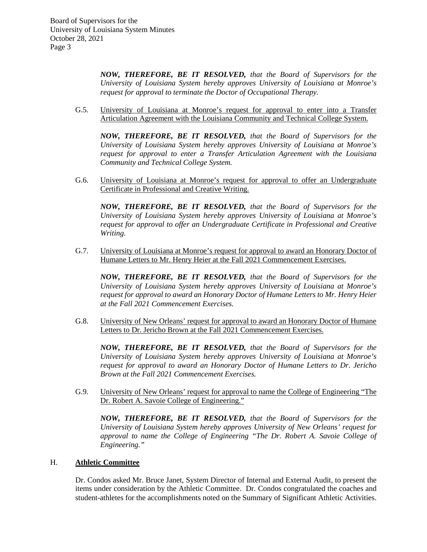*NOW, THEREFORE, BE IT RESOLVED, that the Board of Supervisors for the University of Louisiana System hereby approves University of Louisiana at Monroe's request for approval to terminate the Doctor of Occupational Therapy.*

G.5. University of Louisiana at Monroe's request for approval to enter into a Transfer Articulation Agreement with the Louisiana Community and Technical College System.

*NOW, THEREFORE, BE IT RESOLVED, that the Board of Supervisors for the University of Louisiana System hereby approves University of Louisiana at Monroe's request for approval to enter a Transfer Articulation Agreement with the Louisiana Community and Technical College System.*

G.6. University of Louisiana at Monroe's request for approval to offer an Undergraduate Certificate in Professional and Creative Writing.

*NOW, THEREFORE, BE IT RESOLVED, that the Board of Supervisors for the University of Louisiana System hereby approves University of Louisiana at Monroe's request for approval to offer an Undergraduate Certificate in Professional and Creative Writing.*

G.7. University of Louisiana at Monroe's request for approval to award an Honorary Doctor of Humane Letters to Mr. Henry Heier at the Fall 2021 Commencement Exercises.

*NOW, THEREFORE, BE IT RESOLVED, that the Board of Supervisors for the University of Louisiana System hereby approves University of Louisiana at Monroe's request for approval to award an Honorary Doctor of Humane Letters to Mr. Henry Heier at the Fall 2021 Commencement Exercises.*

G.8. University of New Orleans' request for approval to award an Honorary Doctor of Humane Letters to Dr. Jericho Brown at the Fall 2021 Commencement Exercises.

*NOW, THEREFORE, BE IT RESOLVED, that the Board of Supervisors for the University of Louisiana System hereby approves University of Louisiana at Monroe's request for approval to award an Honorary Doctor of Humane Letters to Dr. Jericho Brown at the Fall 2021 Commencement Exercises.*

G.9. University of New Orleans' request for approval to name the College of Engineering "The Dr. Robert A. Savoie College of Engineering."

*NOW, THEREFORE, BE IT RESOLVED, that the Board of Supervisors for the University of Louisiana System hereby approves University of New Orleans' request for approval to name the College of Engineering "The Dr. Robert A. Savoie College of Engineering."*

## H. **Athletic Committee**

Dr. Condos asked Mr. Bruce Janet, System Director of Internal and External Audit, to present the items under consideration by the Athletic Committee. Dr. Condos congratulated the coaches and student-athletes for the accomplishments noted on the Summary of Significant Athletic Activities.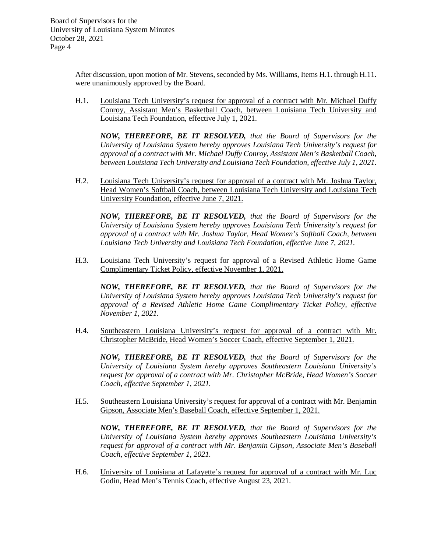> After discussion, upon motion of Mr. Stevens, seconded by Ms. Williams, Items H.1. through H.11. were unanimously approved by the Board.

> H.1. Louisiana Tech University's request for approval of a contract with Mr. Michael Duffy Conroy, Assistant Men's Basketball Coach, between Louisiana Tech University and Louisiana Tech Foundation, effective July 1, 2021.

*NOW, THEREFORE, BE IT RESOLVED, that the Board of Supervisors for the University of Louisiana System hereby approves Louisiana Tech University's request for approval of a contract with Mr. Michael Duffy Conroy, Assistant Men's Basketball Coach, between Louisiana Tech University and Louisiana Tech Foundation, effective July 1, 2021.*

H.2. Louisiana Tech University's request for approval of a contract with Mr. Joshua Taylor, Head Women's Softball Coach, between Louisiana Tech University and Louisiana Tech University Foundation, effective June 7, 2021.

*NOW, THEREFORE, BE IT RESOLVED, that the Board of Supervisors for the University of Louisiana System hereby approves Louisiana Tech University's request for approval of a contract with Mr. Joshua Taylor, Head Women's Softball Coach, between Louisiana Tech University and Louisiana Tech Foundation, effective June 7, 2021.*

H.3. Louisiana Tech University's request for approval of a Revised Athletic Home Game Complimentary Ticket Policy, effective November 1, 2021.

*NOW, THEREFORE, BE IT RESOLVED, that the Board of Supervisors for the University of Louisiana System hereby approves Louisiana Tech University's request for approval of a Revised Athletic Home Game Complimentary Ticket Policy, effective November 1, 2021.*

H.4. Southeastern Louisiana University's request for approval of a contract with Mr. Christopher McBride, Head Women's Soccer Coach, effective September 1, 2021.

*NOW, THEREFORE, BE IT RESOLVED, that the Board of Supervisors for the University of Louisiana System hereby approves Southeastern Louisiana University's request for approval of a contract with Mr. Christopher McBride, Head Women's Soccer Coach, effective September 1, 2021.*

H.5. Southeastern Louisiana University's request for approval of a contract with Mr. Benjamin Gipson, Associate Men's Baseball Coach, effective September 1, 2021.

*NOW, THEREFORE, BE IT RESOLVED, that the Board of Supervisors for the University of Louisiana System hereby approves Southeastern Louisiana University's request for approval of a contract with Mr. Benjamin Gipson, Associate Men's Baseball Coach, effective September 1, 2021.*

H.6. University of Louisiana at Lafayette's request for approval of a contract with Mr. Luc Godin, Head Men's Tennis Coach, effective August 23, 2021.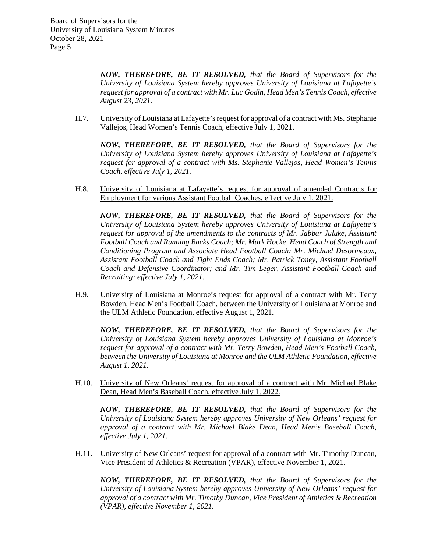> *NOW, THEREFORE, BE IT RESOLVED, that the Board of Supervisors for the University of Louisiana System hereby approves University of Louisiana at Lafayette's request for approval of a contract with Mr. Luc Godin, Head Men's Tennis Coach, effective August 23, 2021.*

H.7. University of Louisiana at Lafayette's request for approval of a contract with Ms. Stephanie Vallejos, Head Women's Tennis Coach, effective July 1, 2021.

*NOW, THEREFORE, BE IT RESOLVED, that the Board of Supervisors for the University of Louisiana System hereby approves University of Louisiana at Lafayette's request for approval of a contract with Ms. Stephanie Vallejos, Head Women's Tennis Coach, effective July 1, 2021.*

H.8. University of Louisiana at Lafayette's request for approval of amended Contracts for Employment for various Assistant Football Coaches, effective July 1, 2021.

*NOW, THEREFORE, BE IT RESOLVED, that the Board of Supervisors for the University of Louisiana System hereby approves University of Louisiana at Lafayette's request for approval of the amendments to the contracts of Mr. Jabbar Juluke, Assistant Football Coach and Running Backs Coach; Mr. Mark Hocke, Head Coach of Strength and Conditioning Program and Associate Head Football Coach; Mr. Michael Desormeaux, Assistant Football Coach and Tight Ends Coach; Mr. Patrick Toney, Assistant Football Coach and Defensive Coordinator; and Mr. Tim Leger, Assistant Football Coach and Recruiting; effective July 1, 2021.*

H.9. University of Louisiana at Monroe's request for approval of a contract with Mr. Terry Bowden, Head Men's Football Coach, between the University of Louisiana at Monroe and the ULM Athletic Foundation, effective August 1, 2021.

*NOW, THEREFORE, BE IT RESOLVED, that the Board of Supervisors for the University of Louisiana System hereby approves University of Louisiana at Monroe's request for approval of a contract with Mr. Terry Bowden, Head Men's Football Coach, between the University of Louisiana at Monroe and the ULM Athletic Foundation, effective August 1, 2021.*

H.10. University of New Orleans' request for approval of a contract with Mr. Michael Blake Dean, Head Men's Baseball Coach, effective July 1, 2022.

*NOW, THEREFORE, BE IT RESOLVED, that the Board of Supervisors for the University of Louisiana System hereby approves University of New Orleans' request for approval of a contract with Mr. Michael Blake Dean, Head Men's Baseball Coach, effective July 1, 2021.*

H.11. University of New Orleans' request for approval of a contract with Mr. Timothy Duncan, Vice President of Athletics & Recreation (VPAR), effective November 1, 2021.

*NOW, THEREFORE, BE IT RESOLVED, that the Board of Supervisors for the University of Louisiana System hereby approves University of New Orleans' request for approval of a contract with Mr. Timothy Duncan, Vice President of Athletics & Recreation (VPAR), effective November 1, 2021.*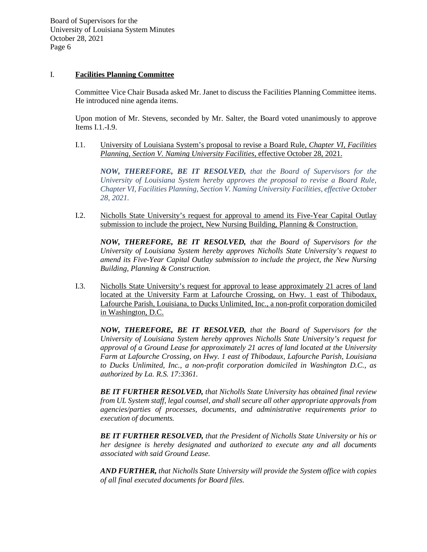## I. **Facilities Planning Committee**

Committee Vice Chair Busada asked Mr. Janet to discuss the Facilities Planning Committee items. He introduced nine agenda items.

Upon motion of Mr. Stevens, seconded by Mr. Salter, the Board voted unanimously to approve Items I.1.-I.9.

I.1. University of Louisiana System's proposal to revise a Board Rule, *Chapter VI, Facilities Planning, Section V. Naming University Facilities*, effective October 28, 2021.

*NOW, THEREFORE, BE IT RESOLVED, that the Board of Supervisors for the University of Louisiana System hereby approves the proposal to revise a Board Rule, Chapter VI, Facilities Planning, Section V. Naming University Facilities, effective October 28, 2021.*

I.2. Nicholls State University's request for approval to amend its Five-Year Capital Outlay submission to include the project, New Nursing Building, Planning & Construction.

*NOW, THEREFORE, BE IT RESOLVED, that the Board of Supervisors for the University of Louisiana System hereby approves Nicholls State University's request to amend its Five-Year Capital Outlay submission to include the project, the New Nursing Building, Planning & Construction.*

I.3. Nicholls State University's request for approval to lease approximately 21 acres of land located at the University Farm at Lafourche Crossing, on Hwy. 1 east of Thibodaux, Lafourche Parish, Louisiana, to Ducks Unlimited, Inc., a non-profit corporation domiciled in Washington, D.C.

*NOW, THEREFORE, BE IT RESOLVED, that the Board of Supervisors for the University of Louisiana System hereby approves Nicholls State University's request for approval of a Ground Lease for approximately 21 acres of land located at the University Farm at Lafourche Crossing, on Hwy. 1 east of Thibodaux, Lafourche Parish, Louisiana to Ducks Unlimited, Inc., a non-profit corporation domiciled in Washington D.C., as authorized by La. R.S. 17:3361.*

*BE IT FURTHER RESOLVED, that Nicholls State University has obtained final review from UL System staff, legal counsel, and shall secure all other appropriate approvals from agencies/parties of processes, documents, and administrative requirements prior to execution of documents.*

*BE IT FURTHER RESOLVED, that the President of Nicholls State University or his or her designee is hereby designated and authorized to execute any and all documents associated with said Ground Lease.*

*AND FURTHER, that Nicholls State University will provide the System office with copies of all final executed documents for Board files.*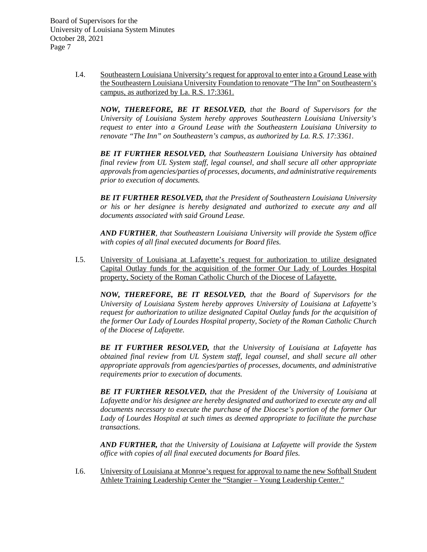> I.4. Southeastern Louisiana University's request for approval to enter into a Ground Lease with the Southeastern Louisiana University Foundation to renovate "The Inn" on Southeastern's campus, as authorized by La. R.S. 17:3361.

*NOW, THEREFORE, BE IT RESOLVED, that the Board of Supervisors for the University of Louisiana System hereby approves Southeastern Louisiana University's request to enter into a Ground Lease with the Southeastern Louisiana University to renovate "The Inn" on Southeastern's campus, as authorized by La. R.S. 17:3361.*

*BE IT FURTHER RESOLVED, that Southeastern Louisiana University has obtained final review from UL System staff, legal counsel, and shall secure all other appropriate approvals from agencies/parties of processes, documents, and administrative requirements prior to execution of documents.* 

*BE IT FURTHER RESOLVED, that the President of Southeastern Louisiana University or his or her designee is hereby designated and authorized to execute any and all documents associated with said Ground Lease.*

*AND FURTHER, that Southeastern Louisiana University will provide the System office with copies of all final executed documents for Board files.*

I.5. University of Louisiana at Lafayette's request for authorization to utilize designated Capital Outlay funds for the acquisition of the former Our Lady of Lourdes Hospital property, Society of the Roman Catholic Church of the Diocese of Lafayette.

*NOW, THEREFORE, BE IT RESOLVED, that the Board of Supervisors for the University of Louisiana System hereby approves University of Louisiana at Lafayette's request for authorization to utilize designated Capital Outlay funds for the acquisition of the former Our Lady of Lourdes Hospital property, Society of the Roman Catholic Church of the Diocese of Lafayette.*

*BE IT FURTHER RESOLVED, that the University of Louisiana at Lafayette has obtained final review from UL System staff, legal counsel, and shall secure all other appropriate approvals from agencies/parties of processes, documents, and administrative requirements prior to execution of documents.* 

*BE IT FURTHER RESOLVED, that the President of the University of Louisiana at Lafayette and/or his designee are hereby designated and authorized to execute any and all documents necessary to execute the purchase of the Diocese's portion of the former Our Lady of Lourdes Hospital at such times as deemed appropriate to facilitate the purchase transactions.*

*AND FURTHER, that the University of Louisiana at Lafayette will provide the System office with copies of all final executed documents for Board files.*

I.6. University of Louisiana at Monroe's request for approval to name the new Softball Student Athlete Training Leadership Center the "Stangier – Young Leadership Center."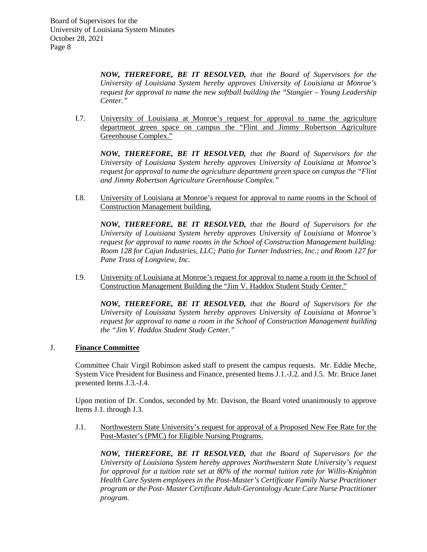*NOW, THEREFORE, BE IT RESOLVED, that the Board of Supervisors for the University of Louisiana System hereby approves University of Louisiana at Monroe's request for approval to name the new softball building the "Stangier – Young Leadership Center."* 

I.7. University of Louisiana at Monroe's request for approval to name the agriculture department green space on campus the "Flint and Jimmy Robertson Agriculture Greenhouse Complex."

*NOW, THEREFORE, BE IT RESOLVED, that the Board of Supervisors for the University of Louisiana System hereby approves University of Louisiana at Monroe's request for approval to name the agriculture department green space on campus the "Flint and Jimmy Robertson Agriculture Greenhouse Complex."*

I.8. University of Louisiana at Monroe's request for approval to name rooms in the School of Construction Management building.

*NOW, THEREFORE, BE IT RESOLVED, that the Board of Supervisors for the University of Louisiana System hereby approves University of Louisiana at Monroe's request for approval to name rooms in the School of Construction Management building: Room 128 for Cajun Industries, LLC; Patio for Turner Industries, Inc.; and Room 127 for Pane Truss of Longview, Inc.*

I.9. University of Louisiana at Monroe's request for approval to name a room in the School of Construction Management Building the "Jim V. Haddox Student Study Center."

*NOW, THEREFORE, BE IT RESOLVED, that the Board of Supervisors for the University of Louisiana System hereby approves University of Louisiana at Monroe's request for approval to name a room in the School of Construction Management building the "Jim V. Haddox Student Study Center."*

# J. **Finance Committee**

Committee Chair Virgil Robinson asked staff to present the campus requests. Mr. Eddie Meche, System Vice President for Business and Finance, presented Items J.1.-J.2. and J.5. Mr. Bruce Janet presented Items J.3.-J.4.

Upon motion of Dr. Condos, seconded by Mr. Davison, the Board voted unanimously to approve Items J.1. through J.3.

J.1. Northwestern State University's request for approval of a Proposed New Fee Rate for the Post-Master's (PMC) for Eligible Nursing Programs.

*NOW, THEREFORE, BE IT RESOLVED, that the Board of Supervisors for the University of Louisiana System hereby approves Northwestern State University's request for approval for a tuition rate set at 80% of the normal tuition rate for Willis-Knighton Health Care System employees in the Post-Master's Certificate Family Nurse Practitioner program or the Post- Master Certificate Adult-Gerontology Acute Care Nurse Practitioner program.*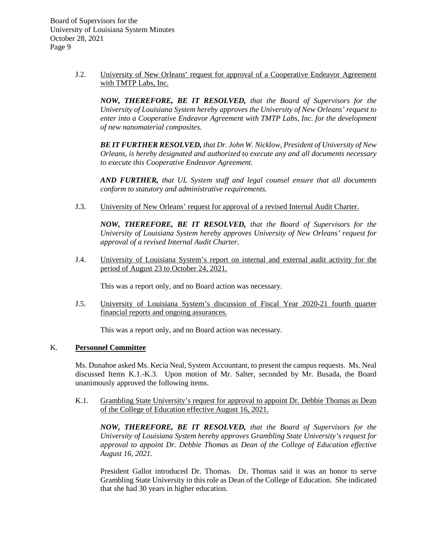> J.2. University of New Orleans' request for approval of a Cooperative Endeavor Agreement with TMTP Labs, Inc.

*NOW, THEREFORE, BE IT RESOLVED, that the Board of Supervisors for the University of Louisiana System hereby approves the University of New Orleans' request to enter into a Cooperative Endeavor Agreement with TMTP Labs, Inc. for the development of new nanomaterial composites.* 

*BE IT FURTHER RESOLVED, that Dr. John W. Nicklow, President of University of New Orleans, is hereby designated and authorized to execute any and all documents necessary to execute this Cooperative Endeavor Agreement.*

*AND FURTHER, that UL System staff and legal counsel ensure that all documents conform to statutory and administrative requirements.*

J.3. University of New Orleans' request for approval of a revised Internal Audit Charter.

*NOW, THEREFORE, BE IT RESOLVED, that the Board of Supervisors for the University of Louisiana System hereby approves University of New Orleans' request for approval of a revised Internal Audit Charter.*

J.4. University of Louisiana System's report on internal and external audit activity for the period of August 23 to October 24, 2021.

This was a report only, and no Board action was necessary.

J.5. University of Louisiana System's discussion of Fiscal Year 2020-21 fourth quarter financial reports and ongoing assurances.

This was a report only, and no Board action was necessary.

## K. **Personnel Committee**

Ms. Dunahoe asked Ms. Kecia Neal, System Accountant, to present the campus requests. Ms. Neal discussed Items K.1.-K.3. Upon motion of Mr. Salter, seconded by Mr. Busada, the Board unanimously approved the following items.

K.1. Grambling State University's request for approval to appoint Dr. Debbie Thomas as Dean of the College of Education effective August 16, 2021.

*NOW, THEREFORE, BE IT RESOLVED, that the Board of Supervisors for the University of Louisiana System hereby approves Grambling State University's request for approval to appoint Dr. Debbie Thomas as Dean of the College of Education effective August 16, 2021.*

President Gallot introduced Dr. Thomas. Dr. Thomas said it was an honor to serve Grambling State University in this role as Dean of the College of Education. She indicated that she had 30 years in higher education.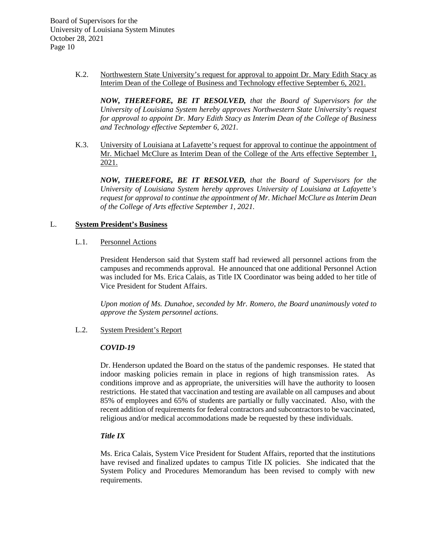> K.2. Northwestern State University's request for approval to appoint Dr. Mary Edith Stacy as Interim Dean of the College of Business and Technology effective September 6, 2021.

*NOW, THEREFORE, BE IT RESOLVED, that the Board of Supervisors for the University of Louisiana System hereby approves Northwestern State University's request for approval to appoint Dr. Mary Edith Stacy as Interim Dean of the College of Business and Technology effective September 6, 2021.*

K.3. University of Louisiana at Lafayette's request for approval to continue the appointment of Mr. Michael McClure as Interim Dean of the College of the Arts effective September 1, 2021.

*NOW, THEREFORE, BE IT RESOLVED, that the Board of Supervisors for the University of Louisiana System hereby approves University of Louisiana at Lafayette's request for approval to continue the appointment of Mr. Michael McClure as Interim Dean of the College of Arts effective September 1, 2021.*

## L. **System President's Business**

### L.1. Personnel Actions

President Henderson said that System staff had reviewed all personnel actions from the campuses and recommends approval. He announced that one additional Personnel Action was included for Ms. Erica Calais, as Title IX Coordinator was being added to her title of Vice President for Student Affairs.

*Upon motion of Ms. Dunahoe, seconded by Mr. Romero, the Board unanimously voted to approve the System personnel actions.*

### L.2. System President's Report

#### *COVID-19*

Dr. Henderson updated the Board on the status of the pandemic responses. He stated that indoor masking policies remain in place in regions of high transmission rates. As conditions improve and as appropriate, the universities will have the authority to loosen restrictions. He stated that vaccination and testing are available on all campuses and about 85% of employees and 65% of students are partially or fully vaccinated. Also, with the recent addition of requirements for federal contractors and subcontractors to be vaccinated, religious and/or medical accommodations made be requested by these individuals.

## *Title IX*

Ms. Erica Calais, System Vice President for Student Affairs, reported that the institutions have revised and finalized updates to campus Title IX policies. She indicated that the System Policy and Procedures Memorandum has been revised to comply with new requirements.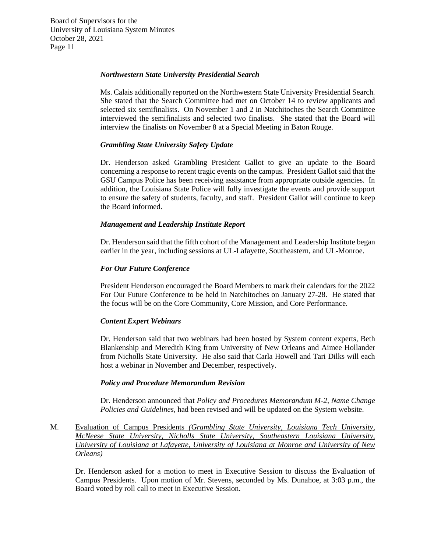### *Northwestern State University Presidential Search*

Ms. Calais additionally reported on the Northwestern State University Presidential Search. She stated that the Search Committee had met on October 14 to review applicants and selected six semifinalists. On November 1 and 2 in Natchitoches the Search Committee interviewed the semifinalists and selected two finalists. She stated that the Board will interview the finalists on November 8 at a Special Meeting in Baton Rouge.

### *Grambling State University Safety Update*

Dr. Henderson asked Grambling President Gallot to give an update to the Board concerning a response to recent tragic events on the campus. President Gallot said that the GSU Campus Police has been receiving assistance from appropriate outside agencies. In addition, the Louisiana State Police will fully investigate the events and provide support to ensure the safety of students, faculty, and staff. President Gallot will continue to keep the Board informed.

### *Management and Leadership Institute Report*

Dr. Henderson said that the fifth cohort of the Management and Leadership Institute began earlier in the year, including sessions at UL-Lafayette, Southeastern, and UL-Monroe.

### *For Our Future Conference*

President Henderson encouraged the Board Members to mark their calendars for the 2022 For Our Future Conference to be held in Natchitoches on January 27-28. He stated that the focus will be on the Core Community, Core Mission, and Core Performance.

#### *Content Expert Webinars*

Dr. Henderson said that two webinars had been hosted by System content experts, Beth Blankenship and Meredith King from University of New Orleans and Aimee Hollander from Nicholls State University. He also said that Carla Howell and Tari Dilks will each host a webinar in November and December, respectively.

#### *Policy and Procedure Memorandum Revision*

Dr. Henderson announced that *Policy and Procedures Memorandum M-2, Name Change Policies and Guidelines,* had been revised and will be updated on the System website.

M. Evaluation of Campus Presidents *(Grambling State University, Louisiana Tech University, McNeese State University, Nicholls State University, Southeastern Louisiana University, University of Louisiana at Lafayette, University of Louisiana at Monroe and University of New Orleans)*

Dr. Henderson asked for a motion to meet in Executive Session to discuss the Evaluation of Campus Presidents. Upon motion of Mr. Stevens, seconded by Ms. Dunahoe, at 3:03 p.m., the Board voted by roll call to meet in Executive Session.